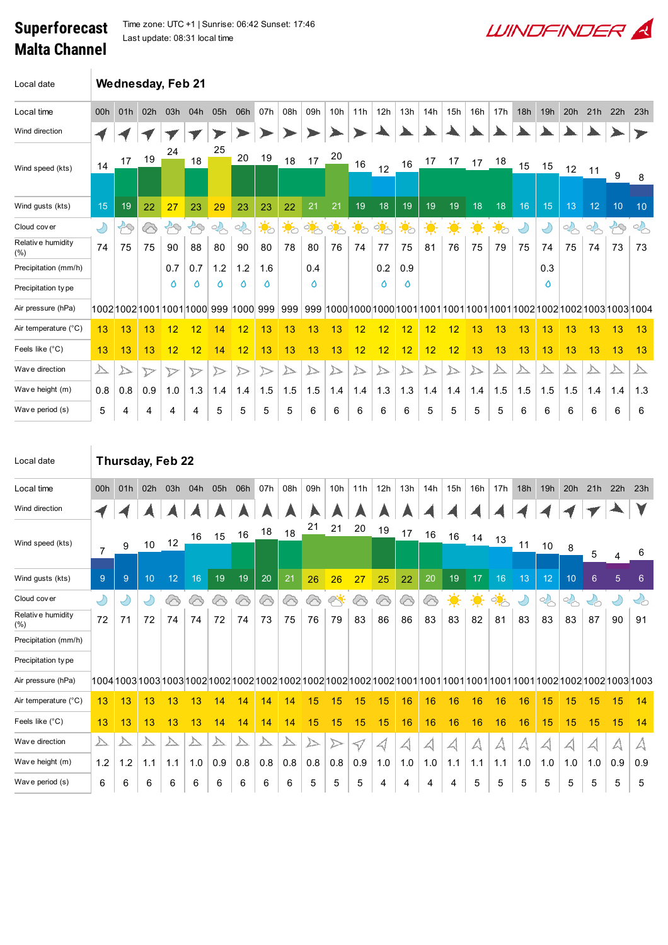## Superforecast Malta Channel

Time zone: UTC +1 | Sunrise: 06:42 Sunset: 17:46 Last update: 08:31 local time



| Local date                |                         |               | <b>Wednesday, Feb 21</b> |                  |                                          |                  |                  |                  |                  |               |                 |                  |                   |                  |                  |                  |     |               |     |                         |        |        |                  |        |
|---------------------------|-------------------------|---------------|--------------------------|------------------|------------------------------------------|------------------|------------------|------------------|------------------|---------------|-----------------|------------------|-------------------|------------------|------------------|------------------|-----|---------------|-----|-------------------------|--------|--------|------------------|--------|
| Local time                | 00h                     | 01h           | 02h                      | 03h              | 04h                                      | 05h              | 06h              | 07h              | 08h              | 09h           | 10 <sub>h</sub> | 11h              | 12h               | 13h              | 14h              | 15h              | 16h | 17h           | 18h | 19h                     | 20h    | 21h    | 22h              | 23h    |
| Wind direction            |                         |               |                          |                  |                                          |                  |                  |                  |                  |               |                 |                  |                   |                  |                  |                  |     |               |     |                         |        |        |                  |        |
| Wind speed (kts)          | 14                      | 17            | 19                       | 24               | 18                                       | 25               | 20               | 19               | 18               | 17            | 20              | 16               | 12                | 16               | 17               | 17               |     | 17 18         | 15  | 15                      | 12     | 11     | 9                | 8      |
| Wind gusts (kts)          | 15                      | 19            | 22                       | 27               | 23                                       | 29               | 23               | 23               | 22               | 21            | 21              | 19               | 18                | 19               | 19               | 19               | 18  | 18            | 16  | 15                      | 13     | 12     | 10               | 10     |
| Cloud cover               | $\bigcirc$              | $\mathcal{B}$ | 6                        | $\bigoplus$      | $\mathcal{B}$                            | $\sim$           | $\frac{1}{2}$    | $\ddot{\bullet}$ | $\ddot{\bullet}$ | $\frac{1}{2}$ | $\phi_{\odot}$  | $\ddot{\bullet}$ | ्रं <mark></mark> | $\sum_{i=1}^{n}$ | $\ddot{\bullet}$ | $\ddot{\bullet}$ | 美   | $\frac{1}{2}$ | Ÿ   | $\bigcirc$              | $\sim$ | $\sim$ | $\mathfrak{B}$   | $\sim$ |
| Relative humidity<br>(% ) | 74                      | 75            | 75                       | 90               | 88                                       | 80               | 90               | 80               | 78               | 80            | 76              | 74               | 77                | 75               | 81               | 76               | 75  | 79            | 75  | 74                      | 75     | 74     | 73               | 73     |
| Precipitation (mm/h)      |                         |               |                          | 0.7              | 0.7                                      | 1.2              | 1.2              | 1.6              |                  | 0.4           |                 |                  | 0.2               | 0.9              |                  |                  |     |               |     | 0.3                     |        |        |                  |        |
| Precipitation type        |                         |               |                          | ٥                | ٥                                        | ٥                | ٥                | ٥                |                  | ٥             |                 |                  | O                 | ٥                |                  |                  |     |               |     | ٥                       |        |        |                  |        |
| Air pressure (hPa)        |                         |               |                          |                  | 1002 1002 1001 1001 1000  999  1000  999 |                  |                  |                  | 999              |               |                 |                  |                   |                  |                  |                  |     |               |     |                         |        |        |                  |        |
| Air temperature (°C)      | 13                      | 13            | 13                       | 12               | 12                                       | 14               | 12               | 13               | 13               | 13            | 13              | 12               | 12                | 12               | 12               | 12               | 13  | 13            | 13  | 13                      | 13     | 13     | 13               | 13     |
| Feels like (°C)           | 13                      | 13            | 13                       | 12               | 12                                       | 14               | 12               | 13               | 13               | 13            | 13              | 12               | 12                | 12               | 12               | 12               | 13  | 13            | 13  | 13                      | 13     | 13     | 13               | 13     |
| Wave direction            | $\overline{\mathbb{A}}$ | △             | $\triangleright$         | $\triangleright$ | $\triangleright$                         | $\triangleright$ | $\triangleright$ | $\triangleright$ | ▷                | ∠             |                 | $\triangleright$ | △                 | ∠                | ▷                |                  | △   |               |     | $\overline{\mathbb{A}}$ | ∠      | ∠∆     | $\triangleright$ | △      |
| Wave height (m)           | 0.8                     | 0.8           | 0.9                      | 1.0              | 1.3                                      | 1.4              | 1.4              | 1.5              | 1.5              | 1.5           | 1.4             | 1.4              | 1.3               | 1.3              | 1.4              | 1.4              | 1.4 | 1.5           | 1.5 | 1.5                     | 1.5    | 1.4    | 1.4              | 1.3    |
| Wave period (s)           | 5                       | 4             | 4                        | 4                | 4                                        | 5                | 5                | 5                | 5                | 6             | 6               | 6                | 6                 | 6                | 5                | 5                | 5   | 5             | 6   | 6                       | 6      | 6      | 6                | 6      |
|                           |                         |               |                          |                  |                                          |                  |                  |                  |                  |               |                 |                  |                   |                  |                  |                  |     |               |     |                         |        |        |                  |        |

| Local date               |                  |       | Thursday, Feb 22 |                 |     |                  |     |                  |                  |     |                    |                 |     |     |     |                  |                                      |            |     |        |               |     |            |                  |
|--------------------------|------------------|-------|------------------|-----------------|-----|------------------|-----|------------------|------------------|-----|--------------------|-----------------|-----|-----|-----|------------------|--------------------------------------|------------|-----|--------|---------------|-----|------------|------------------|
| Local time               | 00h              | 01h   | 02h              | 03h             | 04h | 05h              | 06h | 07h              | 08h              | 09h | 10 <sub>h</sub>    | 11h             | 12h | 13h | 14h | 15h              | 16h                                  | 17h        | 18h | 19h    | 20h           | 21h | 22h        | 23h              |
| Wind direction           |                  |       |                  |                 |     |                  |     |                  |                  |     |                    |                 |     |     |     |                  |                                      |            |     |        |               |     |            |                  |
| Wind speed (kts)         | 7                | 9     | 10 <sup>°</sup>  | 12              | 16  | 15               | 16  | 18               | 18               | 21  | 21                 | 20              | 19  | 17  | 16  | 16               | 14                                   | 13         | 11  | 10     | 8             | 5   |            |                  |
|                          |                  |       |                  |                 |     |                  |     |                  |                  |     |                    |                 |     |     |     |                  |                                      |            |     |        |               |     | 4          | 6                |
| Wind gusts (kts)         | 9                | 9     | 10               | 12 <sub>2</sub> | 16  | 19               | 19  | 20               | 21               | 26  | 26                 | 27              | 25  | 22  | 20  | 19               | 17                                   | 16         | 13  | 12     | 10            | 6   | 5          | $6 \overline{6}$ |
| Cloud cover              | D                |       |                  | ⊘               | ᢙ   | ⊗                | ⊗   | ⊗                | 6                | △   | $\curvearrowright$ | 43              | 6   | ⓒ   | ⊗   | $\ddot{\bullet}$ | $\ddot{\bullet}$                     | <u>ं ं</u> | Ľ   | $\sim$ | $\frac{1}{2}$ | じ   | $\bigcirc$ | ビト               |
| Relative humidity<br>(%) | 72               | 71    | 72               | 74              | 74  | 72               | 74  | 73               | 75               | 76  | 79                 | 83              | 86  | 86  | 83  | 83               | 82                                   | 81         | 83  | 83     | 83            | 87  | 90         | 91               |
| Precipitation (mm/h)     |                  |       |                  |                 |     |                  |     |                  |                  |     |                    |                 |     |     |     |                  |                                      |            |     |        |               |     |            |                  |
| Precipitation type       |                  |       |                  |                 |     |                  |     |                  |                  |     |                    |                 |     |     |     |                  |                                      |            |     |        |               |     |            |                  |
| Air pressure (hPa)       |                  |       |                  |                 |     |                  |     |                  |                  |     |                    |                 |     |     |     |                  |                                      |            |     |        |               |     |            |                  |
| Air temperature (°C)     | 13               | 13    | 13               | 13              | 13  | 14               | 14  | 14               | 14               | 15  | 15                 | 15              | 15  | 16  | 16  | 16               | 16                                   | 16         | 16  | 15     | 15            | 15  | 15         | 14               |
| Feels like (°C)          | 13               | 13    | 13               | 13              | 13  | 14               | 14  | 14               | 14               | 15  | 15                 | 15              | 15  | 16  | 16  | 16               | 16                                   | 16         | 16  | 15     | 15            | 15  | 15         | 14               |
| Wav e direction          | $\triangleright$ |       | ∠                | $\sum$          | △   | $\triangleright$ |     | $\triangleright$ | $\triangleright$ |     |                    | $\triangleleft$ |     | A   |     |                  | $\triangle\hspace{-0.1cm}\backslash$ |            |     | 싀      |               |     |            |                  |
| Wave height (m)          | 1.2              | $1.2$ | 1.1              | 1.1             | 1.0 | 0.9              | 0.8 | 0.8              | 0.8              | 0.8 | 0.8                | 0.9             | 1.0 | 1.0 | 1.0 | 1.1              | 1.1                                  | 1.1        | 1.0 | 1.0    | 1.0           | 1.0 | 0.9        | 0.9              |
| Wave period (s)          | 6                | 6     | 6                | 6               | 6   | 6                | 6   | 6                | 6                | 5   | 5                  | 5               | 4   | 4   | 4   | 4                | 5                                    | 5          | 5   | 5      | 5             | 5   | 5          | 5                |